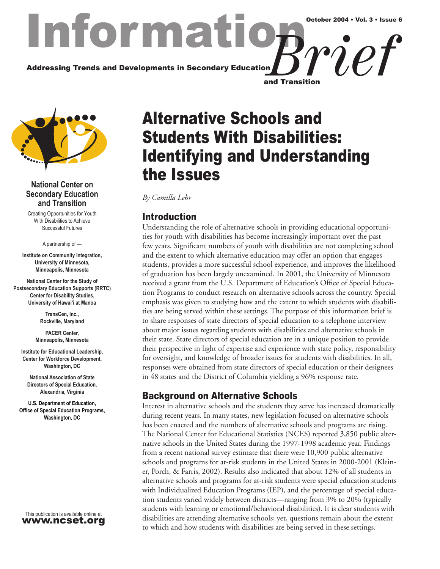## Informat Addressing Trends and Developments in Secondary Education *Brief* October 2004 • Vol. 3 • Issue 6 and Transition



#### **National Center on Secondary Education and Transition**

Creating Opportunities for Youth With Disabilities to Achieve Successful Futures

A partnership of —

**Institute on Community Integration, University of Minnesota, Minneapolis, Minnesota**

**National Center for the Study of Postsecondary Education Supports (RRTC) Center for Disability Studies, University of Hawai'i at Manoa**

> **TransCen, Inc., Rockville, Maryland**

**PACER Center, Minneapolis, Minnesota**

**Institute for Educational Leadership, Center for Workforce Development, Washington, DC**

**National Association of State Directors of Special Education, Alexandria, Virginia**

**U.S. Department of Education, Office of Special Education Programs, Washington, DC**

This publication is available online at www.ncset.org

# Alternative Schools and Students With Disabilities: Identifying and Understanding the Issues

*By Camilla Lehr*

## Introduction

Understanding the role of alternative schools in providing educational opportunities for youth with disabilities has become increasingly important over the past few years. Significant numbers of youth with disabilities are not completing school and the extent to which alternative education may offer an option that engages students, provides a more successful school experience, and improves the likelihood of graduation has been largely unexamined. In 2001, the University of Minnesota received a grant from the U.S. Department of Education's Office of Special Education Programs to conduct research on alternative schools across the country. Special emphasis was given to studying how and the extent to which students with disabilities are being served within these settings. The purpose of this information brief is to share responses of state directors of special education to a telephone interview about major issues regarding students with disabilities and alternative schools in their state. State directors of special education are in a unique position to provide their perspective in light of expertise and experience with state policy, responsibility for oversight, and knowledge of broader issues for students with disabilities. In all, responses were obtained from state directors of special education or their designees in 48 states and the District of Columbia yielding a 96% response rate.

## Background on Alternative Schools

Interest in alternative schools and the students they serve has increased dramatically during recent years. In many states, new legislation focused on alternative schools has been enacted and the numbers of alternative schools and programs are rising. The National Center for Educational Statistics (NCES) reported 3,850 public alternative schools in the United States during the 1997-1998 academic year. Findings from a recent national survey estimate that there were 10,900 public alternative schools and programs for at-risk students in the United States in 2000-2001 (Kleiner, Porch, & Farris, 2002). Results also indicated that about 12% of all students in alternative schools and programs for at-risk students were special education students with Individualized Education Programs (IEP), and the percentage of special education students varied widely between districts—ranging from 3% to 20% (typically students with learning or emotional/behavioral disabilities). It is clear students with disabilities are attending alternative schools; yet, questions remain about the extent to which and how students with disabilities are being served in these settings.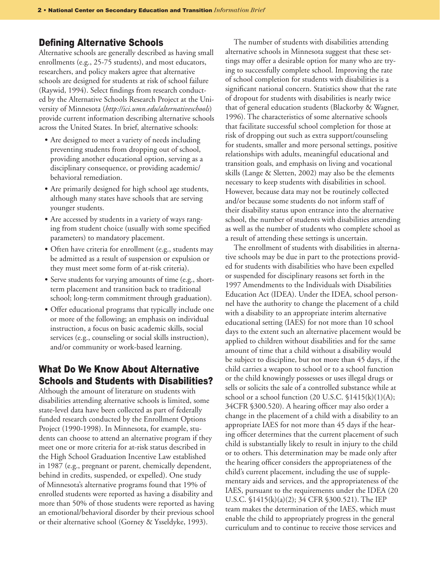#### Defining Alternative Schools

Alternative schools are generally described as having small enrollments (e.g., 25-75 students), and most educators, researchers, and policy makers agree that alternative schools are designed for students at risk of school failure (Raywid, 1994). Select findings from research conducted by the Alternative Schools Research Project at the University of Minnesota (*http://ici.umn.edu/alternativeschools*) provide current information describing alternative schools across the United States. In brief, alternative schools:

- Are designed to meet a variety of needs including preventing students from dropping out of school, providing another educational option, serving as a disciplinary consequence, or providing academic/ behavioral remediation.
- Are primarily designed for high school age students, although many states have schools that are serving younger students.
- Are accessed by students in a variety of ways ranging from student choice (usually with some specified parameters) to mandatory placement.
- Often have criteria for enrollment (e.g., students may be admitted as a result of suspension or expulsion or they must meet some form of at-risk criteria).
- Serve students for varying amounts of time (e.g., shortterm placement and transition back to traditional school; long-term commitment through graduation).
- Offer educational programs that typically include one or more of the following; an emphasis on individual instruction, a focus on basic academic skills, social services (e.g., counseling or social skills instruction), and/or community or work-based learning.

## What Do We Know About Alternative Schools and Students with Disabilities?

Although the amount of literature on students with disabilities attending alternative schools is limited, some state-level data have been collected as part of federally funded research conducted by the Enrollment Options Project (1990-1998). In Minnesota, for example, students can choose to attend an alternative program if they meet one or more criteria for at-risk status described in the High School Graduation Incentive Law established in 1987 (e.g., pregnant or parent, chemically dependent, behind in credits, suspended, or expelled). One study of Minnesota's alternative programs found that 19% of enrolled students were reported as having a disability and more than 50% of those students were reported as having an emotional/behavioral disorder by their previous school or their alternative school (Gorney & Ysseldyke, 1993).

The number of students with disabilities attending alternative schools in Minnesota suggest that these settings may offer a desirable option for many who are trying to successfully complete school. Improving the rate of school completion for students with disabilities is a significant national concern. Statistics show that the rate of dropout for students with disabilities is nearly twice that of general education students (Blackorby & Wagner, 1996). The characteristics of some alternative schools that facilitate successful school completion for those at risk of dropping out such as extra support/counseling for students, smaller and more personal settings, positive relationships with adults, meaningful educational and transition goals, and emphasis on living and vocational skills (Lange & Sletten, 2002) may also be the elements necessary to keep students with disabilities in school. However, because data may not be routinely collected and/or because some students do not inform staff of their disability status upon entrance into the alternative school, the number of students with disabilities attending as well as the number of students who complete school as a result of attending these settings is uncertain.

The enrollment of students with disabilities in alternative schools may be due in part to the protections provided for students with disabilities who have been expelled or suspended for disciplinary reasons set forth in the 1997 Amendments to the Individuals with Disabilities Education Act (IDEA). Under the IDEA, school personnel have the authority to change the placement of a child with a disability to an appropriate interim alternative educational setting (IAES) for not more than 10 school days to the extent such an alternative placement would be applied to children without disabilities and for the same amount of time that a child without a disability would be subject to discipline, but not more than 45 days, if the child carries a weapon to school or to a school function or the child knowingly possesses or uses illegal drugs or sells or solicits the sale of a controlled substance while at school or a school function  $(20 \text{ U.S.C. } $1415(k)(1)(A);$ 34CFR §300.520). A hearing officer may also order a change in the placement of a child with a disability to an appropriate IAES for not more than 45 days if the hearing officer determines that the current placement of such child is substantially likely to result in injury to the child or to others. This determination may be made only after the hearing officer considers the appropriateness of the child's current placement, including the use of supplementary aids and services, and the appropriateness of the IAES, pursuant to the requirements under the IDEA (20 U.S.C. §1415(k)(a)(2); 34 CFR §300.521). The IEP team makes the determination of the IAES, which must enable the child to appropriately progress in the general curriculum and to continue to receive those services and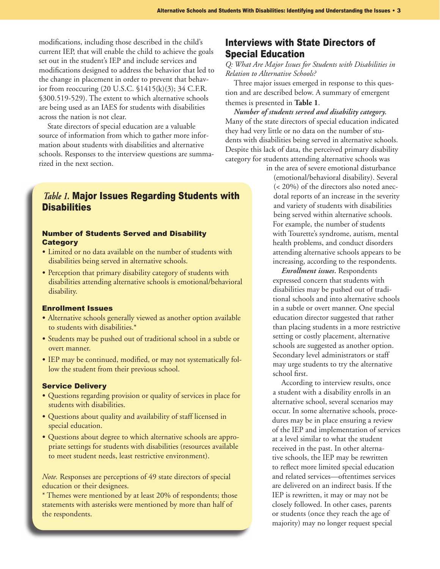modifications, including those described in the child's current IEP, that will enable the child to achieve the goals set out in the student's IEP and include services and modifications designed to address the behavior that led to the change in placement in order to prevent that behavior from reoccuring (20 U.S.C. §1415(k)(3); 34 C.F.R. §300.519-529). The extent to which alternative schools are being used as an IAES for students with disabilities across the nation is not clear.

State directors of special education are a valuable source of information from which to gather more information about students with disabilities and alternative schools. Responses to the interview questions are summarized in the next section.

### *Table 1.* Major Issues Regarding Students with **Disabilities**

#### Number of Students Served and Disability **Category**

- Limited or no data available on the number of students with disabilities being served in alternative schools.
- Perception that primary disability category of students with disabilities attending alternative schools is emotional/behavioral disability.

#### Enrollment Issues

- Alternative schools generally viewed as another option available to students with disabilities.\*
- Students may be pushed out of traditional school in a subtle or overt manner.
- IEP may be continued, modified, or may not systematically follow the student from their previous school.

#### Service Delivery

- Questions regarding provision or quality of services in place for students with disabilities.
- Questions about quality and availability of staff licensed in special education.
- Questions about degree to which alternative schools are appropriate settings for students with disabilities (resources available to meet student needs, least restrictive environment).

*Note.* Responses are perceptions of 49 state directors of special education or their designees.

\* Themes were mentioned by at least 20% of respondents; those statements with asterisks were mentioned by more than half of the respondents.

## Interviews with State Directors of Special Education

*Q: What Are Major Issues for Students with Disabilities in Relation to Alternative Schools?*

Three major issues emerged in response to this question and are described below. A summary of emergent themes is presented in **Table 1**.

*Number of students served and disability category.*  Many of the state directors of special education indicated they had very little or no data on the number of students with disabilities being served in alternative schools. Despite this lack of data, the perceived primary disability category for students attending alternative schools was

in the area of severe emotional disturbance (emotional/behavioral disability). Several (< 20%) of the directors also noted anecdotal reports of an increase in the severity and variety of students with disabilities being served within alternative schools. For example, the number of students with Tourette's syndrome, autism, mental health problems, and conduct disorders attending alternative schools appears to be increasing, according to the respondents.

*Enrollment issues***.** Respondents expressed concern that students with disabilities may be pushed out of traditional schools and into alternative schools in a subtle or overt manner. One special education director suggested that rather than placing students in a more restrictive setting or costly placement, alternative schools are suggested as another option. Secondary level administrators or staff may urge students to try the alternative school first.

According to interview results, once a student with a disability enrolls in an alternative school, several scenarios may occur. In some alternative schools, procedures may be in place ensuring a review of the IEP and implementation of services at a level similar to what the student received in the past. In other alternative schools, the IEP may be rewritten to reflect more limited special education and related services—oftentimes services are delivered on an indirect basis. If the IEP is rewritten, it may or may not be closely followed. In other cases, parents or students (once they reach the age of majority) may no longer request special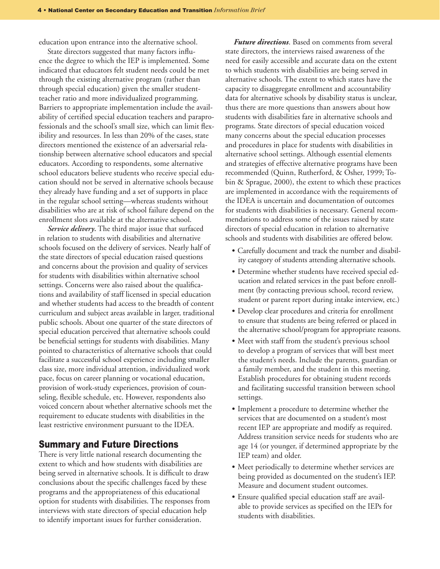education upon entrance into the alternative school.

State directors suggested that many factors influence the degree to which the IEP is implemented. Some indicated that educators felt student needs could be met through the existing alternative program (rather than through special education) given the smaller studentteacher ratio and more individualized programming. Barriers to appropriate implementation include the availability of certified special education teachers and paraprofessionals and the school's small size, which can limit flexibility and resources. In less than 20% of the cases, state directors mentioned the existence of an adversarial relationship between alternative school educators and special educators. According to respondents, some alternative school educators believe students who receive special education should not be served in alternative schools because they already have funding and a set of supports in place in the regular school setting—whereas students without disabilities who are at risk of school failure depend on the enrollment slots available at the alternative school.

*Service delivery***.** The third major issue that surfaced in relation to students with disabilities and alternative schools focused on the delivery of services. Nearly half of the state directors of special education raised questions and concerns about the provision and quality of services for students with disabilities within alternative school settings. Concerns were also raised about the qualifications and availability of staff licensed in special education and whether students had access to the breadth of content curriculum and subject areas available in larger, traditional public schools. About one quarter of the state directors of special education perceived that alternative schools could be beneficial settings for students with disabilities. Many pointed to characteristics of alternative schools that could facilitate a successful school experience including smaller class size, more individual attention, individualized work pace, focus on career planning or vocational education, provision of work-study experiences, provision of counseling, flexible schedule, etc. However, respondents also voiced concern about whether alternative schools met the requirement to educate students with disabilities in the least restrictive environment pursuant to the IDEA.

#### Summary and Future Directions

There is very little national research documenting the extent to which and how students with disabilities are being served in alternative schools. It is difficult to draw conclusions about the specific challenges faced by these programs and the appropriateness of this educational option for students with disabilities. The responses from interviews with state directors of special education help to identify important issues for further consideration.

*Future directions*. Based on comments from several state directors, the interviews raised awareness of the need for easily accessible and accurate data on the extent to which students with disabilities are being served in alternative schools. The extent to which states have the capacity to disaggregate enrollment and accountability data for alternative schools by disability status is unclear, thus there are more questions than answers about how students with disabilities fare in alternative schools and programs. State directors of special education voiced many concerns about the special education processes and procedures in place for students with disabilities in alternative school settings. Although essential elements and strategies of effective alternative programs have been recommended (Quinn, Rutherford, & Osher, 1999; Tobin & Sprague, 2000), the extent to which these practices are implemented in accordance with the requirements of the IDEA is uncertain and documentation of outcomes for students with disabilities is necessary. General recommendations to address some of the issues raised by state directors of special education in relation to alternative schools and students with disabilities are offered below.

- Carefully document and track the number and disability category of students attending alternative schools.
- Determine whether students have received special education and related services in the past before enrollment (by contacting previous school, record review, student or parent report during intake interview, etc.)
- Develop clear procedures and criteria for enrollment to ensure that students are being referred or placed in the alternative school/program for appropriate reasons.
- Meet with staff from the student's previous school to develop a program of services that will best meet the student's needs. Include the parents, guardian or a family member, and the student in this meeting. Establish procedures for obtaining student records and facilitating successful transition between school settings.
- Implement a procedure to determine whether the services that are documented on a student's most recent IEP are appropriate and modify as required. Address transition service needs for students who are age 14 (or younger, if determined appropriate by the IEP team) and older.
- Meet periodically to determine whether services are being provided as documented on the student's IEP. Measure and document student outcomes.
- Ensure qualified special education staff are available to provide services as specified on the IEPs for students with disabilities.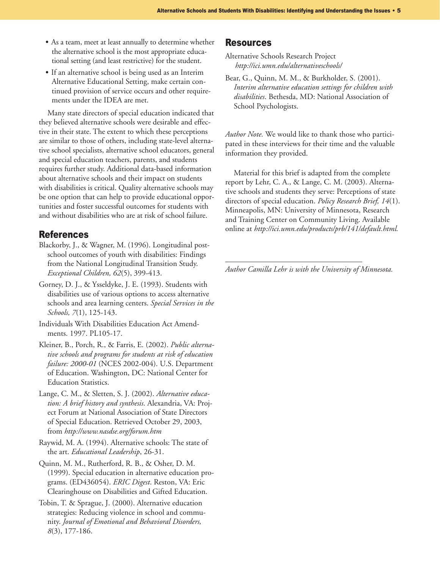- As a team, meet at least annually to determine whether the alternative school is the most appropriate educational setting (and least restrictive) for the student.
- If an alternative school is being used as an Interim Alternative Educational Setting, make certain continued provision of service occurs and other requirements under the IDEA are met.

Many state directors of special education indicated that they believed alternative schools were desirable and effective in their state. The extent to which these perceptions are similar to those of others, including state-level alternative school specialists, alternative school educators, general and special education teachers, parents, and students requires further study. Additional data-based information about alternative schools and their impact on students with disabilities is critical. Quality alternative schools may be one option that can help to provide educational opportunities and foster successful outcomes for students with and without disabilities who are at risk of school failure.

#### References

- Blackorby, J., & Wagner, M. (1996). Longitudinal postschool outcomes of youth with disabilities: Findings from the National Longitudinal Transition Study. *Exceptional Children, 62*(5), 399-413.
- Gorney, D. J., & Ysseldyke, J. E. (1993). Students with disabilities use of various options to access alternative schools and area learning centers. *Special Services in the Schools, 7*(1), 125-143.
- Individuals With Disabilities Education Act Amendments. 1997. PL105-17.
- Kleiner, B., Porch, R., & Farris, E. (2002). *Public alternative schools and programs for students at risk of education failure: 2000-01* (NCES 2002-004). U.S. Department of Education. Washington, DC: National Center for Education Statistics.
- Lange, C. M., & Sletten, S. J. (2002). *Alternative education: A brief history and synthesis*. Alexandria, VA: Project Forum at National Association of State Directors of Special Education. Retrieved October 29, 2003, from *http://www.nasdse.org/forum.htm*
- Raywid, M. A. (1994). Alternative schools: The state of the art. *Educational Leadership*, 26-31.
- Quinn, M. M., Rutherford, R. B., & Osher, D. M. (1999). Special education in alternative education programs. (ED436054). *ERIC Digest*. Reston, VA: Eric Clearinghouse on Disabilities and Gifted Education.
- Tobin, T. & Sprague, J. (2000). Alternative education strategies: Reducing violence in school and community. *Journal of Emotional and Behavioral Disorders, 8*(3), 177-186.

#### Resources

Alternative Schools Research Project  *http://ici.umn.edu/alternativeschools/*

Bear, G., Quinn, M. M., & Burkholder, S. (2001). *Interim alternative education settings for children with disabilities*. Bethesda, MD: National Association of School Psychologists.

*Author Note.* We would like to thank those who participated in these interviews for their time and the valuable information they provided.

Material for this brief is adapted from the complete report by Lehr, C. A., & Lange, C. M. (2003). Alternative schools and students they serve: Perceptions of state directors of special education. *Policy Research Brief, 14*(1). Minneapolis, MN: University of Minnesota, Research and Training Center on Community Living. Available online at *http://ici.umn.edu/products/prb/141/default.html.*

*Author Camilla Lehr is with the University of Minnesota.*